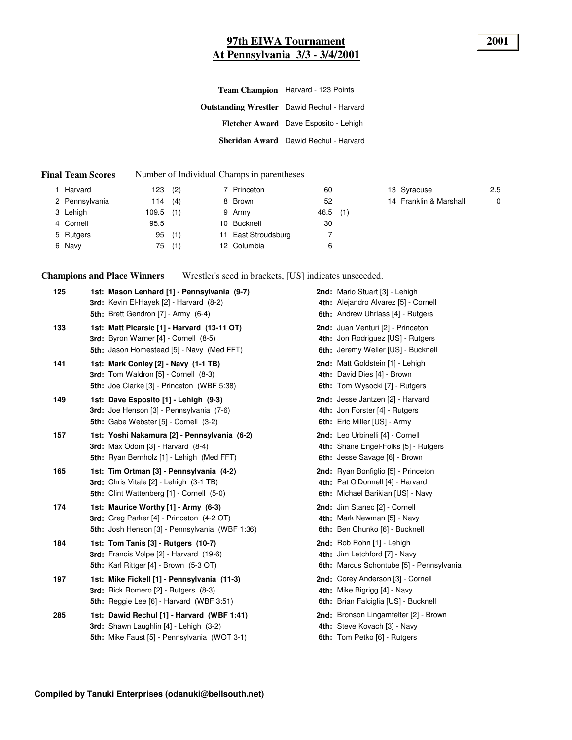# **97th EIWA Tournament 2001 At Pennsylvania 3/3 - 3/4/2001**

| Team Champion Harvard - 123 Points                 |  |  |  |  |
|----------------------------------------------------|--|--|--|--|
| <b>Outstanding Wrestler</b> Dawid Rechul - Harvard |  |  |  |  |
| Fletcher Award Dave Esposito - Lehigh              |  |  |  |  |
| Sheridan Award Dawid Rechul - Harvard              |  |  |  |  |
|                                                    |  |  |  |  |

#### **Final Team Scores** Number of Individual Champs in parentheses

| l Harvard      | 123   | (2) | 7 Princeton         | 60         |  | 13 Syracuse            | 2.5 |
|----------------|-------|-----|---------------------|------------|--|------------------------|-----|
| 2 Pennsylvania | 114   | (4) | 8 Brown             | 52         |  | 14 Franklin & Marshall |     |
| 3 Lehigh       | 109.5 | (1) | 9 Army              | $46.5$ (1) |  |                        |     |
| 4 Cornell      | 95.5  |     | 10 Bucknell         | 30         |  |                        |     |
| 5 Rutgers      | 95    | (1) | 11 East Stroudsburg |            |  |                        |     |
| 6 Navy         | 75    | (1) | 12 Columbia         | 6          |  |                        |     |

**Champions and Place Winners** Wrestler's seed in brackets, [US] indicates unseeeded.

| 125 | 1st: Mason Lenhard [1] - Pennsylvania (9-7)<br>3rd: Kevin El-Hayek [2] - Harvard (8-2)<br>5th: Brett Gendron [7] - Army (6-4)                    | 2nd: Mario Stuart [3] - Lehigh<br>4th: Alejandro Alvarez [5] - Cornell<br>6th: Andrew Uhrlass [4] - Rutgers  |
|-----|--------------------------------------------------------------------------------------------------------------------------------------------------|--------------------------------------------------------------------------------------------------------------|
| 133 | 1st: Matt Picarsic [1] - Harvard (13-11 OT)<br>3rd: Byron Warner [4] - Cornell (8-5)<br>5th: Jason Homestead [5] - Navy (Med FFT)                | 2nd: Juan Venturi [2] - Princeton<br>4th: Jon Rodriguez [US] - Rutgers<br>6th: Jeremy Weller [US] - Bucknell |
| 141 | 1st: Mark Conley [2] - Navy (1-1 TB)<br>3rd: Tom Waldron [5] - Cornell (8-3)<br>5th: Joe Clarke [3] - Princeton (WBF 5:38)                       | 2nd: Matt Goldstein [1] - Lehigh<br>4th: David Dies [4] - Brown<br>6th: Tom Wysocki [7] - Rutgers            |
| 149 | 1st: Dave Esposito [1] - Lehigh (9-3)<br>3rd: Joe Henson [3] - Pennsylvania (7-6)<br>5th: Gabe Webster [5] - Cornell (3-2)                       | 2nd: Jesse Jantzen [2] - Harvard<br>4th: Jon Forster [4] - Rutgers<br>6th: Eric Miller [US] - Army           |
| 157 | 1st: Yoshi Nakamura [2] - Pennsylvania (6-2)<br><b>3rd:</b> Max Odom $[3]$ - Harvard $(8-4)$<br><b>5th:</b> Ryan Bernholz [1] - Lehigh (Med FFT) | 2nd: Leo Urbinelli [4] - Cornell<br>4th: Shane Engel-Folks [5] - Rutgers<br>6th: Jesse Savage [6] - Brown    |
| 165 | 1st: Tim Ortman [3] - Pennsylvania (4-2)<br>3rd: Chris Vitale [2] - Lehigh (3-1 TB)<br>5th: Clint Wattenberg [1] - Cornell (5-0)                 | 2nd: Ryan Bonfiglio [5] - Princeton<br>4th: Pat O'Donnell [4] - Harvard<br>6th: Michael Barikian [US] - Navy |
| 174 | 1st: Maurice Worthy [1] - Army (6-3)<br>3rd: Greg Parker [4] - Princeton (4-2 OT)<br>5th: Josh Henson [3] - Pennsylvania (WBF 1:36)              | 2nd: Jim Stanec [2] - Cornell<br>4th: Mark Newman [5] - Navy<br>6th: Ben Chunko [6] - Bucknell               |
| 184 | 1st: Tom Tanis [3] - Rutgers (10-7)<br>3rd: Francis Volpe [2] - Harvard (19-6)<br>5th: Karl Rittger [4] - Brown (5-3 OT)                         | 2nd: Rob Rohn [1] - Lehigh<br>4th: Jim Letchford [7] - Navy<br>6th: Marcus Schontube [5] - Pennsylvania      |
| 197 | 1st: Mike Fickell [1] - Pennsylvania (11-3)<br><b>3rd:</b> Rick Romero [2] - Rutgers (8-3)<br><b>5th:</b> Reggie Lee [6] - Harvard (WBF 3:51)    | 2nd: Corey Anderson [3] - Cornell<br>4th: Mike Bigrigg [4] - Navy<br>6th: Brian Falciglia [US] - Bucknell    |
| 285 | 1st: Dawid Rechul [1] - Harvard (WBF 1:41)<br>3rd: Shawn Laughlin [4] - Lehigh (3-2)<br>5th: Mike Faust [5] - Pennsylvania (WOT 3-1)             | 2nd: Bronson Lingamfelter [2] - Brown<br>4th: Steve Kovach [3] - Navy<br>6th: Tom Petko [6] - Rutgers        |
|     |                                                                                                                                                  |                                                                                                              |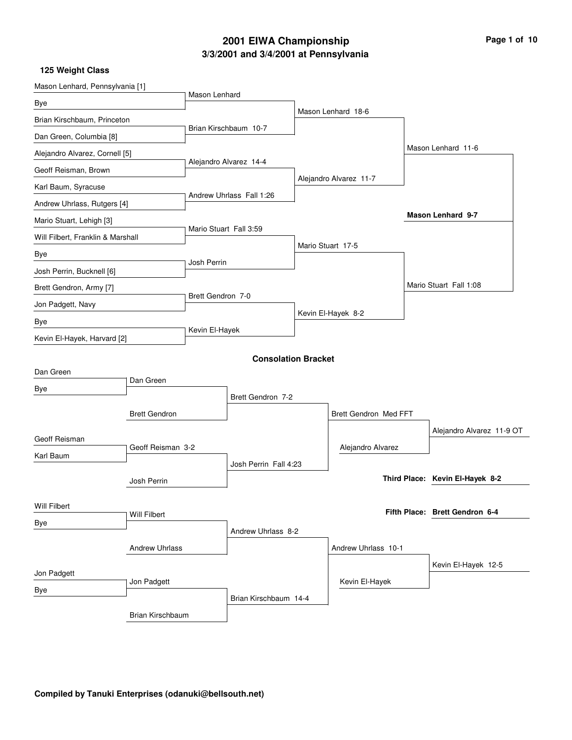## **3/3/2001 and 3/4/2001 at Pennsylvania 2001 EIWA Championship Page 1 of 10**

| Mason Lenhard, Pennsylvania [1]   |                       | Mason Lenhard          |                            |                        |  |                                 |
|-----------------------------------|-----------------------|------------------------|----------------------------|------------------------|--|---------------------------------|
| Bye                               |                       |                        |                            |                        |  |                                 |
| Brian Kirschbaum, Princeton       |                       |                        |                            | Mason Lenhard 18-6     |  |                                 |
| Dan Green, Columbia [8]           |                       |                        | Brian Kirschbaum 10-7      |                        |  |                                 |
| Alejandro Alvarez, Cornell [5]    |                       |                        |                            |                        |  | Mason Lenhard 11-6              |
| Geoff Reisman, Brown              |                       |                        | Alejandro Alvarez 14-4     |                        |  |                                 |
| Karl Baum, Syracuse               |                       |                        |                            | Alejandro Alvarez 11-7 |  |                                 |
| Andrew Uhrlass, Rutgers [4]       |                       |                        | Andrew Uhrlass Fall 1:26   |                        |  |                                 |
| Mario Stuart, Lehigh [3]          |                       |                        |                            |                        |  | <b>Mason Lenhard 9-7</b>        |
| Will Filbert, Franklin & Marshall |                       | Mario Stuart Fall 3:59 |                            |                        |  |                                 |
| Bye                               |                       |                        |                            | Mario Stuart 17-5      |  |                                 |
| Josh Perrin, Bucknell [6]         |                       | Josh Perrin            |                            |                        |  |                                 |
| Brett Gendron, Army [7]           |                       |                        |                            |                        |  | Mario Stuart Fall 1:08          |
| Jon Padgett, Navy                 |                       | Brett Gendron 7-0      |                            |                        |  |                                 |
| Bye                               |                       |                        |                            | Kevin El-Hayek 8-2     |  |                                 |
| Kevin El-Hayek, Harvard [2]       |                       | Kevin El-Hayek         |                            |                        |  |                                 |
|                                   |                       |                        | <b>Consolation Bracket</b> |                        |  |                                 |
| Dan Green                         |                       |                        |                            |                        |  |                                 |
| Bye                               | Dan Green             |                        |                            |                        |  |                                 |
|                                   |                       |                        | Brett Gendron 7-2          |                        |  |                                 |
|                                   | <b>Brett Gendron</b>  |                        |                            | Brett Gendron Med FFT  |  |                                 |
| Geoff Reisman                     |                       |                        |                            |                        |  | Alejandro Alvarez 11-9 OT       |
| Karl Baum                         | Geoff Reisman 3-2     |                        |                            | Alejandro Alvarez      |  |                                 |
|                                   |                       |                        | Josh Perrin Fall 4:23      |                        |  |                                 |
|                                   | Josh Perrin           |                        |                            |                        |  | Third Place: Kevin El-Hayek 8-2 |
| Will Filbert                      |                       |                        |                            |                        |  |                                 |
| Bye                               | Will Filbert          |                        |                            |                        |  | Fifth Place: Brett Gendron 6-4  |
|                                   |                       |                        | Andrew Uhrlass 8-2         |                        |  |                                 |
|                                   | <b>Andrew Uhrlass</b> |                        |                            | Andrew Uhrlass 10-1    |  |                                 |
| Jon Padgett                       |                       |                        |                            |                        |  | Kevin El-Hayek 12-5             |
| Bye                               | Jon Padgett           |                        |                            | Kevin El-Hayek         |  |                                 |
|                                   |                       |                        | Brian Kirschbaum 14-4      |                        |  |                                 |
|                                   | Brian Kirschbaum      |                        |                            |                        |  |                                 |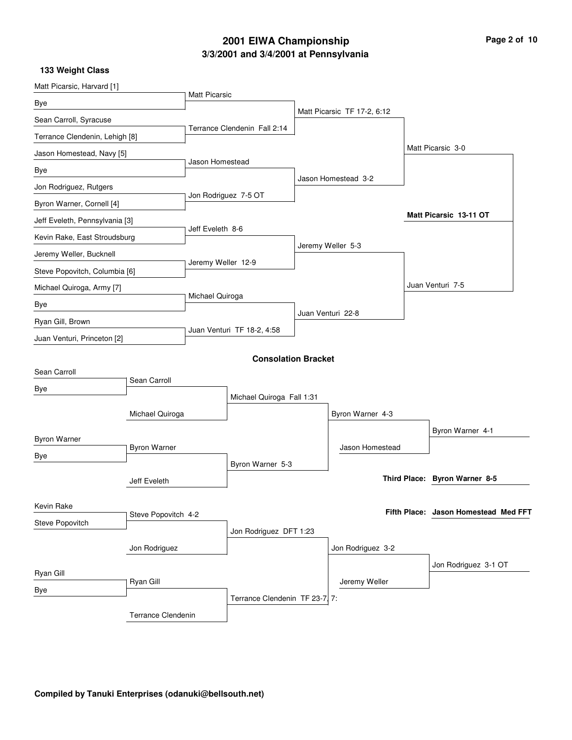## **3/3/2001 and 3/4/2001 at Pennsylvania 2001 EIWA Championship Page 2 of 10**

| Matt Picarsic, Harvard [1]     |                     |                           |                                |                             |                                      |
|--------------------------------|---------------------|---------------------------|--------------------------------|-----------------------------|--------------------------------------|
| Bye                            |                     | <b>Matt Picarsic</b>      |                                |                             |                                      |
| Sean Carroll, Syracuse         |                     |                           |                                | Matt Picarsic TF 17-2, 6:12 |                                      |
| Terrance Clendenin, Lehigh [8] |                     |                           | Terrance Clendenin Fall 2:14   |                             |                                      |
| Jason Homestead, Navy [5]      |                     |                           |                                |                             | Matt Picarsic 3-0                    |
| Bye                            |                     | Jason Homestead           |                                |                             |                                      |
| Jon Rodriguez, Rutgers         |                     |                           |                                | Jason Homestead 3-2         |                                      |
| Byron Warner, Cornell [4]      |                     |                           | Jon Rodriguez 7-5 OT           |                             |                                      |
| Jeff Eveleth, Pennsylvania [3] |                     |                           |                                |                             | Matt Picarsic 13-11 OT               |
| Kevin Rake, East Stroudsburg   |                     | Jeff Eveleth 8-6          |                                |                             |                                      |
| Jeremy Weller, Bucknell        |                     |                           |                                | Jeremy Weller 5-3           |                                      |
| Steve Popovitch, Columbia [6]  |                     | Jeremy Weller 12-9        |                                |                             |                                      |
| Michael Quiroga, Army [7]      |                     |                           |                                |                             | Juan Venturi 7-5                     |
| Bye                            |                     | Michael Quiroga           |                                |                             |                                      |
| Ryan Gill, Brown               |                     |                           |                                | Juan Venturi 22-8           |                                      |
| Juan Venturi, Princeton [2]    |                     |                           | Juan Venturi TF 18-2, 4:58     |                             |                                      |
|                                |                     |                           | <b>Consolation Bracket</b>     |                             |                                      |
| Sean Carroll                   |                     |                           |                                |                             |                                      |
| Bye                            | Sean Carroll        |                           |                                |                             |                                      |
|                                |                     | Michael Quiroga Fall 1:31 |                                |                             |                                      |
|                                | Michael Quiroga     |                           |                                | Byron Warner 4-3            |                                      |
| <b>Byron Warner</b>            |                     |                           |                                |                             | Byron Warner 4-1                     |
| Bye                            | <b>Byron Warner</b> |                           |                                | Jason Homestead             |                                      |
|                                |                     |                           | Byron Warner 5-3               |                             | Third Place: Byron Warner 8-5        |
|                                | Jeff Eveleth        |                           |                                |                             |                                      |
| Kevin Rake                     |                     |                           |                                |                             | Fifth Place: Jason Homestead Med FFT |
| Steve Popovitch                | Steve Popovitch 4-2 |                           |                                |                             |                                      |
|                                |                     |                           | Jon Rodriguez DFT 1:23         |                             |                                      |
|                                | Jon Rodriguez       |                           |                                | Jon Rodriguez 3-2           |                                      |
| Ryan Gill                      |                     |                           |                                |                             | Jon Rodriguez 3-1 OT                 |
| Bye                            | Ryan Gill           |                           |                                | Jeremy Weller               |                                      |
|                                |                     |                           | Terrance Clendenin TF 23-7, 7: |                             |                                      |
|                                | Terrance Clendenin  |                           |                                |                             |                                      |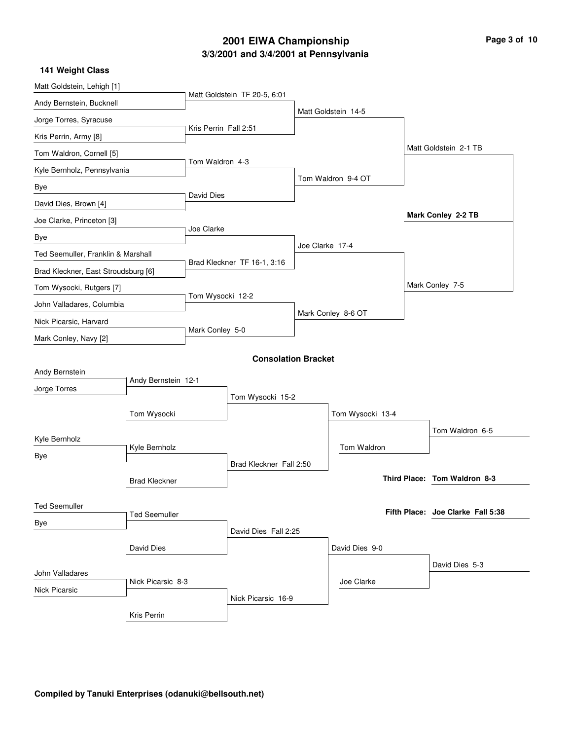## **3/3/2001 and 3/4/2001 at Pennsylvania 2001 EIWA Championship Page 3 of 10**

| 141 Weight Class                    |                      |                       |                              |                 |                     |                                   |
|-------------------------------------|----------------------|-----------------------|------------------------------|-----------------|---------------------|-----------------------------------|
| Matt Goldstein, Lehigh [1]          |                      |                       |                              |                 |                     |                                   |
| Andy Bernstein, Bucknell            |                      |                       | Matt Goldstein TF 20-5, 6:01 |                 |                     |                                   |
| Jorge Torres, Syracuse              |                      |                       |                              |                 | Matt Goldstein 14-5 |                                   |
| Kris Perrin, Army [8]               |                      | Kris Perrin Fall 2:51 |                              |                 |                     |                                   |
| Tom Waldron, Cornell [5]            |                      |                       |                              |                 |                     | Matt Goldstein 2-1 TB             |
| Kyle Bernholz, Pennsylvania         |                      | Tom Waldron 4-3       |                              |                 |                     |                                   |
| Bye                                 |                      |                       |                              |                 | Tom Waldron 9-4 OT  |                                   |
| David Dies, Brown [4]               |                      | David Dies            |                              |                 |                     |                                   |
| Joe Clarke, Princeton [3]           |                      |                       |                              |                 |                     | Mark Conley 2-2 TB                |
| Bye                                 |                      | Joe Clarke            |                              |                 |                     |                                   |
| Ted Seemuller, Franklin & Marshall  |                      |                       |                              | Joe Clarke 17-4 |                     |                                   |
| Brad Kleckner, East Stroudsburg [6] |                      |                       | Brad Kleckner TF 16-1, 3:16  |                 |                     |                                   |
| Tom Wysocki, Rutgers [7]            |                      |                       |                              |                 |                     | Mark Conley 7-5                   |
| John Valladares, Columbia           |                      | Tom Wysocki 12-2      |                              |                 |                     |                                   |
| Nick Picarsic, Harvard              |                      |                       |                              |                 | Mark Conley 8-6 OT  |                                   |
| Mark Conley, Navy [2]               |                      | Mark Conley 5-0       |                              |                 |                     |                                   |
|                                     |                      |                       | <b>Consolation Bracket</b>   |                 |                     |                                   |
| Andy Bernstein                      |                      |                       |                              |                 |                     |                                   |
| Jorge Torres                        | Andy Bernstein 12-1  |                       |                              |                 |                     |                                   |
|                                     |                      |                       | Tom Wysocki 15-2             |                 |                     |                                   |
|                                     | Tom Wysocki          |                       |                              |                 | Tom Wysocki 13-4    |                                   |
| Kyle Bernholz                       |                      |                       |                              |                 |                     | Tom Waldron 6-5                   |
| Bye                                 | Kyle Bernholz        |                       | Brad Kleckner Fall 2:50      |                 | Tom Waldron         |                                   |
|                                     |                      |                       |                              |                 |                     | Third Place: Tom Waldron 8-3      |
|                                     | <b>Brad Kleckner</b> |                       |                              |                 |                     |                                   |
| <b>Ted Seemuller</b>                | <b>Ted Seemuller</b> |                       |                              |                 |                     | Fifth Place: Joe Clarke Fall 5:38 |
| Bye                                 |                      |                       | David Dies Fall 2:25         |                 |                     |                                   |
|                                     |                      |                       |                              |                 | David Dies 9-0      |                                   |
|                                     | David Dies           |                       |                              |                 |                     |                                   |
| John Valladares                     |                      |                       |                              |                 | Joe Clarke          | David Dies 5-3                    |
| <b>Nick Picarsic</b>                | Nick Picarsic 8-3    |                       |                              |                 |                     |                                   |
|                                     |                      |                       | Nick Picarsic 16-9           |                 |                     |                                   |
|                                     | Kris Perrin          |                       |                              |                 |                     |                                   |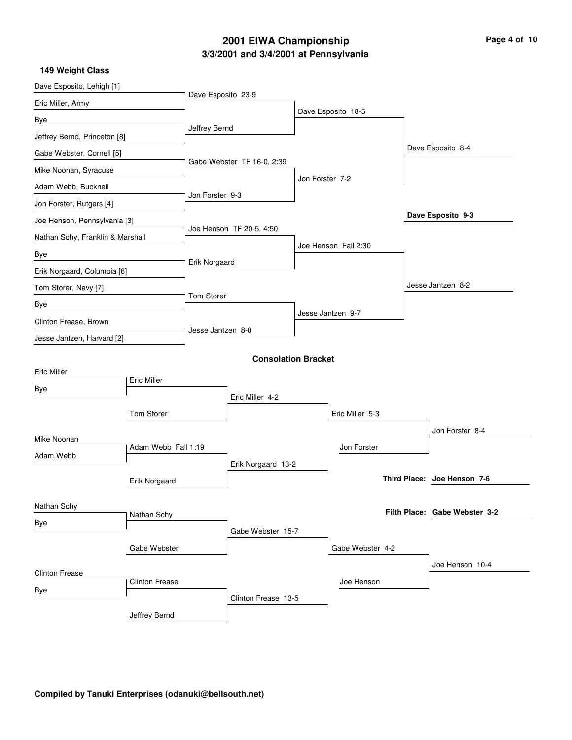## **3/3/2001 and 3/4/2001 at Pennsylvania 2001 EIWA Championship**

| Page 4 of 10 |  |  |
|--------------|--|--|
|--------------|--|--|

| Dave Esposito, Lehigh [1]                           |                       |                    |                            |                  |                      |                               |  |
|-----------------------------------------------------|-----------------------|--------------------|----------------------------|------------------|----------------------|-------------------------------|--|
| Eric Miller, Army                                   |                       | Dave Esposito 23-9 |                            |                  |                      |                               |  |
| Bye                                                 |                       |                    |                            |                  | Dave Esposito 18-5   |                               |  |
| Jeffrey Bernd, Princeton [8]                        |                       | Jeffrey Bernd      |                            |                  |                      |                               |  |
| Gabe Webster, Cornell [5]                           |                       |                    |                            |                  |                      | Dave Esposito 8-4             |  |
| Mike Noonan, Syracuse                               |                       |                    | Gabe Webster TF 16-0, 2:39 |                  |                      |                               |  |
| Adam Webb, Bucknell                                 |                       |                    |                            | Jon Forster 7-2  |                      |                               |  |
| Jon Forster, Rutgers [4]                            |                       | Jon Forster 9-3    |                            |                  |                      |                               |  |
| Joe Henson, Pennsylvania [3]                        |                       |                    |                            |                  |                      | Dave Esposito 9-3             |  |
| Nathan Schy, Franklin & Marshall                    |                       |                    | Joe Henson TF 20-5, 4:50   |                  |                      |                               |  |
| Bye                                                 |                       |                    |                            |                  | Joe Henson Fall 2:30 |                               |  |
| Erik Norgaard, Columbia [6]                         |                       | Erik Norgaard      |                            |                  |                      |                               |  |
| Tom Storer, Navy [7]                                |                       |                    |                            |                  |                      | Jesse Jantzen 8-2             |  |
|                                                     |                       | Tom Storer         |                            |                  |                      |                               |  |
| Bye                                                 |                       |                    |                            |                  | Jesse Jantzen 9-7    |                               |  |
| Clinton Frease, Brown<br>Jesse Jantzen, Harvard [2] |                       | Jesse Jantzen 8-0  |                            |                  |                      |                               |  |
|                                                     |                       |                    |                            |                  |                      |                               |  |
| <b>Eric Miller</b>                                  |                       |                    | <b>Consolation Bracket</b> |                  |                      |                               |  |
|                                                     | Eric Miller           |                    |                            |                  |                      |                               |  |
| Bye                                                 |                       |                    | Eric Miller 4-2            |                  |                      |                               |  |
|                                                     | Tom Storer            |                    |                            |                  | Eric Miller 5-3      |                               |  |
|                                                     |                       |                    |                            |                  |                      | Jon Forster 8-4               |  |
| Mike Noonan                                         | Adam Webb Fall 1:19   |                    |                            |                  | Jon Forster          |                               |  |
| Adam Webb                                           |                       |                    | Erik Norgaard 13-2         |                  |                      |                               |  |
|                                                     | Erik Norgaard         |                    |                            |                  |                      | Third Place: Joe Henson 7-6   |  |
|                                                     |                       |                    |                            |                  |                      |                               |  |
| Nathan Schy                                         | Nathan Schy           |                    |                            |                  |                      | Fifth Place: Gabe Webster 3-2 |  |
| Bye                                                 |                       |                    | Gabe Webster 15-7          |                  |                      |                               |  |
|                                                     |                       |                    |                            | Gabe Webster 4-2 |                      |                               |  |
|                                                     |                       |                    |                            |                  |                      | Joe Henson 10-4               |  |
| <b>Clinton Frease</b>                               | <b>Clinton Frease</b> |                    |                            |                  | Joe Henson           |                               |  |
| Bye                                                 |                       |                    | Clinton Frease 13-5        |                  |                      |                               |  |
|                                                     | Jeffrey Bernd         |                    |                            |                  |                      |                               |  |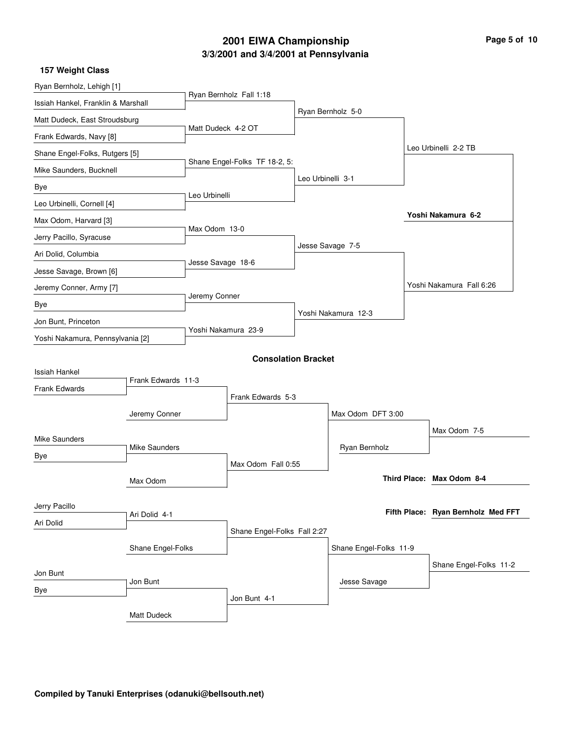## **3/3/2001 and 3/4/2001 at Pennsylvania 2001 EIWA Championship Page 5 of 10**

| Ryan Bernholz, Lehigh [1]          |                    |                    |                               |                   |                        |  |                                    |  |  |
|------------------------------------|--------------------|--------------------|-------------------------------|-------------------|------------------------|--|------------------------------------|--|--|
| Issiah Hankel, Franklin & Marshall |                    |                    | Ryan Bernholz Fall 1:18       |                   |                        |  |                                    |  |  |
| Matt Dudeck, East Stroudsburg      |                    |                    |                               |                   | Ryan Bernholz 5-0      |  |                                    |  |  |
| Frank Edwards, Navy [8]            |                    | Matt Dudeck 4-2 OT |                               |                   |                        |  |                                    |  |  |
| Shane Engel-Folks, Rutgers [5]     |                    |                    |                               |                   |                        |  | Leo Urbinelli 2-2 TB               |  |  |
| Mike Saunders, Bucknell            |                    |                    | Shane Engel-Folks TF 18-2, 5: |                   |                        |  |                                    |  |  |
| Bye                                |                    |                    |                               | Leo Urbinelli 3-1 |                        |  |                                    |  |  |
| Leo Urbinelli, Cornell [4]         |                    | Leo Urbinelli      |                               |                   |                        |  |                                    |  |  |
| Max Odom, Harvard [3]              |                    |                    |                               |                   |                        |  | Yoshi Nakamura 6-2                 |  |  |
| Jerry Pacillo, Syracuse            |                    | Max Odom 13-0      |                               |                   |                        |  |                                    |  |  |
| Ari Dolid, Columbia                |                    |                    |                               |                   | Jesse Savage 7-5       |  |                                    |  |  |
| Jesse Savage, Brown [6]            |                    | Jesse Savage 18-6  |                               |                   |                        |  |                                    |  |  |
| Jeremy Conner, Army [7]            |                    |                    |                               |                   |                        |  | Yoshi Nakamura Fall 6:26           |  |  |
| Bye                                |                    | Jeremy Conner      |                               |                   |                        |  |                                    |  |  |
| Jon Bunt, Princeton                |                    |                    |                               |                   | Yoshi Nakamura 12-3    |  |                                    |  |  |
| Yoshi Nakamura, Pennsylvania [2]   |                    |                    | Yoshi Nakamura 23-9           |                   |                        |  |                                    |  |  |
|                                    |                    |                    | <b>Consolation Bracket</b>    |                   |                        |  |                                    |  |  |
| <b>Issiah Hankel</b>               |                    |                    |                               |                   |                        |  |                                    |  |  |
| <b>Frank Edwards</b>               | Frank Edwards 11-3 |                    |                               |                   |                        |  |                                    |  |  |
|                                    |                    |                    | Frank Edwards 5-3             |                   |                        |  |                                    |  |  |
|                                    | Jeremy Conner      |                    |                               |                   | Max Odom DFT 3:00      |  |                                    |  |  |
| <b>Mike Saunders</b>               |                    |                    |                               |                   |                        |  | Max Odom 7-5                       |  |  |
| Bye                                | Mike Saunders      |                    |                               |                   | Ryan Bernholz          |  |                                    |  |  |
|                                    |                    |                    | Max Odom Fall 0:55            |                   |                        |  | Third Place: Max Odom 8-4          |  |  |
|                                    | Max Odom           |                    |                               |                   |                        |  |                                    |  |  |
| Jerry Pacillo                      |                    |                    |                               |                   |                        |  | Fifth Place: Ryan Bernholz Med FFT |  |  |
| Ari Dolid                          | Ari Dolid 4-1      |                    |                               |                   |                        |  |                                    |  |  |
|                                    |                    |                    | Shane Engel-Folks Fall 2:27   |                   |                        |  |                                    |  |  |
|                                    | Shane Engel-Folks  |                    |                               |                   | Shane Engel-Folks 11-9 |  |                                    |  |  |
| Jon Bunt                           |                    |                    |                               |                   |                        |  | Shane Engel-Folks 11-2             |  |  |
| Bye                                | Jon Bunt           |                    |                               |                   | Jesse Savage           |  |                                    |  |  |
|                                    | Matt Dudeck        |                    | Jon Bunt 4-1                  |                   |                        |  |                                    |  |  |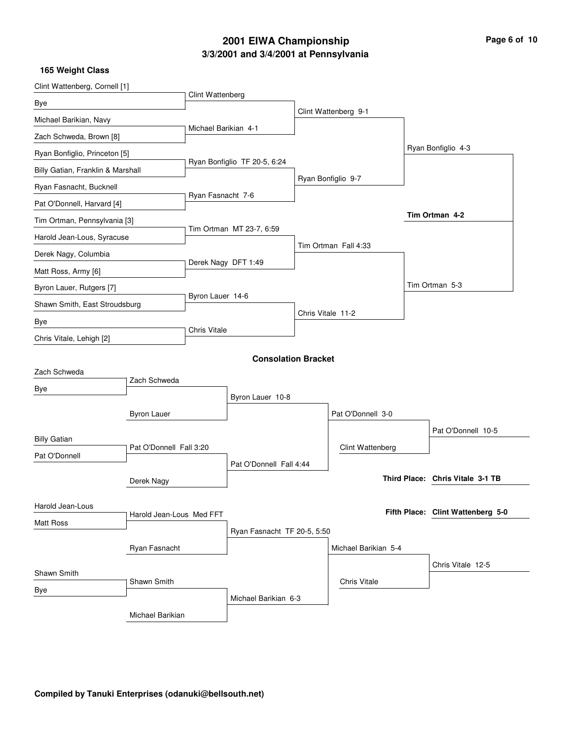## **3/3/2001 and 3/4/2001 at Pennsylvania 2001 EIWA Championship Page 6 of 10**

| Clint Wattenberg, Cornell [1]     |                          |                      |                              |                   |                      |                                   |
|-----------------------------------|--------------------------|----------------------|------------------------------|-------------------|----------------------|-----------------------------------|
| Bye                               |                          | Clint Wattenberg     |                              |                   |                      |                                   |
| Michael Barikian, Navy            |                          |                      |                              |                   | Clint Wattenberg 9-1 |                                   |
| Zach Schweda, Brown [8]           |                          | Michael Barikian 4-1 |                              |                   |                      |                                   |
| Ryan Bonfiglio, Princeton [5]     |                          |                      |                              |                   |                      | Ryan Bonfiglio 4-3                |
| Billy Gatian, Franklin & Marshall |                          |                      | Ryan Bonfiglio TF 20-5, 6:24 |                   |                      |                                   |
| Ryan Fasnacht, Bucknell           |                          |                      |                              |                   | Ryan Bonfiglio 9-7   |                                   |
| Pat O'Donnell, Harvard [4]        |                          | Ryan Fasnacht 7-6    |                              |                   |                      |                                   |
| Tim Ortman, Pennsylvania [3]      |                          |                      |                              |                   |                      | Tim Ortman 4-2                    |
| Harold Jean-Lous, Syracuse        |                          |                      | Tim Ortman MT 23-7, 6:59     |                   |                      |                                   |
| Derek Nagy, Columbia              |                          |                      |                              |                   | Tim Ortman Fall 4:33 |                                   |
| Matt Ross, Army [6]               |                          |                      | Derek Nagy DFT 1:49          |                   |                      |                                   |
| Byron Lauer, Rutgers [7]          |                          |                      |                              |                   |                      | Tim Ortman 5-3                    |
| Shawn Smith, East Stroudsburg     |                          | Byron Lauer 14-6     |                              | Chris Vitale 11-2 |                      |                                   |
| Bye                               |                          | Chris Vitale         |                              |                   |                      |                                   |
| Chris Vitale, Lehigh [2]          |                          |                      |                              |                   |                      |                                   |
|                                   |                          |                      | <b>Consolation Bracket</b>   |                   |                      |                                   |
| Zach Schweda                      | Zach Schweda             |                      |                              |                   |                      |                                   |
| Bye                               |                          |                      | Byron Lauer 10-8             |                   |                      |                                   |
|                                   | <b>Byron Lauer</b>       |                      |                              |                   | Pat O'Donnell 3-0    |                                   |
|                                   |                          |                      |                              |                   |                      | Pat O'Donnell 10-5                |
| <b>Billy Gatian</b>               | Pat O'Donnell Fall 3:20  |                      |                              |                   | Clint Wattenberg     |                                   |
| Pat O'Donnell                     |                          |                      | Pat O'Donnell Fall 4:44      |                   |                      |                                   |
|                                   | Derek Nagy               |                      |                              |                   |                      | Third Place: Chris Vitale 3-1 TB  |
|                                   |                          |                      |                              |                   |                      |                                   |
| Harold Jean-Lous                  | Harold Jean-Lous Med FFT |                      |                              |                   |                      | Fifth Place: Clint Wattenberg 5-0 |
| <b>Matt Ross</b>                  |                          |                      | Ryan Fasnacht TF 20-5, 5:50  |                   |                      |                                   |
|                                   | Ryan Fasnacht            |                      |                              |                   | Michael Barikian 5-4 |                                   |
|                                   |                          |                      |                              |                   |                      | Chris Vitale 12-5                 |
| Shawn Smith                       | Shawn Smith              |                      |                              |                   | Chris Vitale         |                                   |
| Bye                               |                          |                      | Michael Barikian 6-3         |                   |                      |                                   |
|                                   | Michael Barikian         |                      |                              |                   |                      |                                   |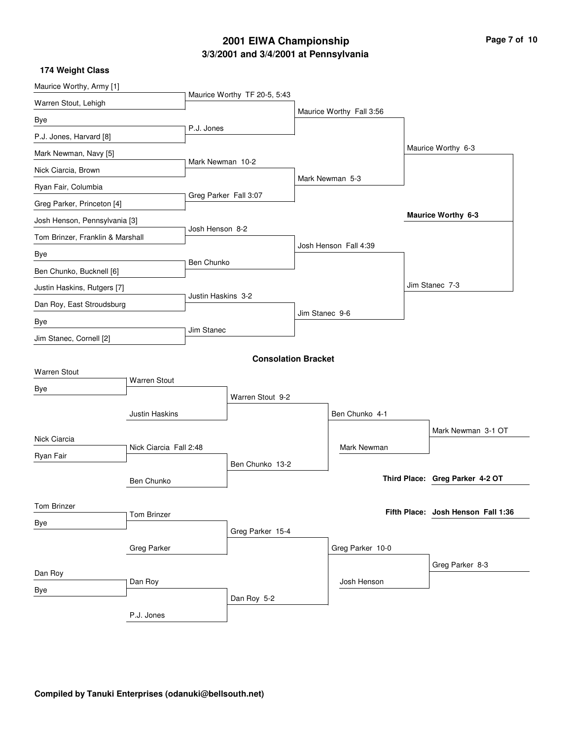## **3/3/2001 and 3/4/2001 at Pennsylvania 2001 EIWA Championship Page 7 of 10**

| Maurice Worthy, Army [1]         |                        |                       |                              |                |                          |  |                                    |  |
|----------------------------------|------------------------|-----------------------|------------------------------|----------------|--------------------------|--|------------------------------------|--|
| Warren Stout, Lehigh             |                        |                       | Maurice Worthy TF 20-5, 5:43 |                |                          |  |                                    |  |
| Bye                              |                        |                       |                              |                | Maurice Worthy Fall 3:56 |  |                                    |  |
| P.J. Jones, Harvard [8]          |                        | P.J. Jones            |                              |                |                          |  |                                    |  |
| Mark Newman, Navy [5]            |                        |                       |                              |                |                          |  | Maurice Worthy 6-3                 |  |
| Nick Ciarcia, Brown              |                        | Mark Newman 10-2      |                              |                |                          |  |                                    |  |
| Ryan Fair, Columbia              |                        |                       |                              |                | Mark Newman 5-3          |  |                                    |  |
| Greg Parker, Princeton [4]       |                        | Greg Parker Fall 3:07 |                              |                |                          |  |                                    |  |
| Josh Henson, Pennsylvania [3]    |                        |                       |                              |                |                          |  | <b>Maurice Worthy 6-3</b>          |  |
| Tom Brinzer, Franklin & Marshall |                        | Josh Henson 8-2       |                              |                |                          |  |                                    |  |
| Bye                              |                        |                       |                              |                | Josh Henson Fall 4:39    |  |                                    |  |
| Ben Chunko, Bucknell [6]         |                        | Ben Chunko            |                              |                |                          |  |                                    |  |
| Justin Haskins, Rutgers [7]      |                        |                       |                              |                |                          |  | Jim Stanec 7-3                     |  |
| Dan Roy, East Stroudsburg        |                        | Justin Haskins 3-2    |                              |                |                          |  |                                    |  |
| Bye                              |                        |                       |                              | Jim Stanec 9-6 |                          |  |                                    |  |
| Jim Stanec, Cornell [2]          |                        | Jim Stanec            |                              |                |                          |  |                                    |  |
|                                  |                        |                       | <b>Consolation Bracket</b>   |                |                          |  |                                    |  |
| <b>Warren Stout</b>              |                        |                       |                              |                |                          |  |                                    |  |
| Bye                              | <b>Warren Stout</b>    |                       |                              |                |                          |  |                                    |  |
|                                  |                        |                       | Warren Stout 9-2             |                |                          |  |                                    |  |
|                                  | <b>Justin Haskins</b>  |                       |                              |                | Ben Chunko 4-1           |  |                                    |  |
| Nick Ciarcia                     |                        |                       |                              |                |                          |  | Mark Newman 3-1 OT                 |  |
| Ryan Fair                        | Nick Ciarcia Fall 2:48 |                       |                              |                | Mark Newman              |  |                                    |  |
|                                  |                        |                       | Ben Chunko 13-2              |                |                          |  |                                    |  |
|                                  | Ben Chunko             |                       |                              |                |                          |  | Third Place: Greg Parker 4-2 OT    |  |
| Tom Brinzer                      |                        |                       |                              |                |                          |  |                                    |  |
| Bye                              | <b>Tom Brinzer</b>     |                       |                              |                |                          |  | Fifth Place: Josh Henson Fall 1:36 |  |
|                                  |                        |                       | Greg Parker 15-4             |                |                          |  |                                    |  |
|                                  | <b>Greg Parker</b>     |                       |                              |                | Greg Parker 10-0         |  |                                    |  |
| Dan Roy                          |                        |                       |                              |                |                          |  | Greg Parker 8-3                    |  |
| Bye                              | Dan Roy                |                       |                              |                | Josh Henson              |  |                                    |  |
|                                  |                        |                       | Dan Roy 5-2                  |                |                          |  |                                    |  |
|                                  | P.J. Jones             |                       |                              |                |                          |  |                                    |  |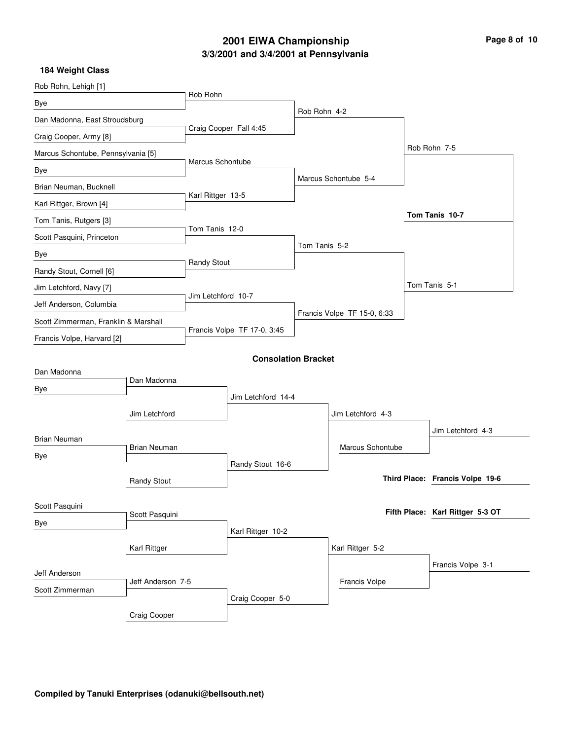## **3/3/2001 and 3/4/2001 at Pennsylvania 2001 EIWA Championship Page 8 of 10**

| Rob Rohn, Lehigh [1]                 |                     |                             |                            |                  |                             |                                  |
|--------------------------------------|---------------------|-----------------------------|----------------------------|------------------|-----------------------------|----------------------------------|
| Bye                                  |                     | Rob Rohn                    |                            |                  |                             |                                  |
| Dan Madonna, East Stroudsburg        |                     |                             |                            | Rob Rohn 4-2     |                             |                                  |
| Craig Cooper, Army [8]               |                     |                             | Craig Cooper Fall 4:45     |                  |                             |                                  |
| Marcus Schontube, Pennsylvania [5]   |                     |                             |                            |                  |                             | Rob Rohn 7-5                     |
| Bye                                  |                     | Marcus Schontube            |                            |                  |                             |                                  |
| Brian Neuman, Bucknell               |                     |                             |                            |                  | Marcus Schontube 5-4        |                                  |
| Karl Rittger, Brown [4]              |                     | Karl Rittger 13-5           |                            |                  |                             |                                  |
| Tom Tanis, Rutgers [3]               |                     |                             |                            |                  |                             | Tom Tanis 10-7                   |
| Scott Pasquini, Princeton            |                     | Tom Tanis 12-0              |                            |                  |                             |                                  |
| Bye                                  |                     |                             |                            | Tom Tanis 5-2    |                             |                                  |
| Randy Stout, Cornell [6]             |                     | <b>Randy Stout</b>          |                            |                  |                             |                                  |
| Jim Letchford, Navy [7]              |                     |                             |                            |                  |                             | Tom Tanis 5-1                    |
| Jeff Anderson, Columbia              |                     | Jim Letchford 10-7          |                            |                  |                             |                                  |
| Scott Zimmerman, Franklin & Marshall |                     |                             |                            |                  | Francis Volpe TF 15-0, 6:33 |                                  |
| Francis Volpe, Harvard [2]           |                     | Francis Volpe TF 17-0, 3:45 |                            |                  |                             |                                  |
|                                      |                     |                             | <b>Consolation Bracket</b> |                  |                             |                                  |
| Dan Madonna                          |                     |                             |                            |                  |                             |                                  |
| Bye                                  | Dan Madonna         |                             |                            |                  |                             |                                  |
|                                      |                     |                             | Jim Letchford 14-4         |                  |                             |                                  |
|                                      | Jim Letchford       |                             |                            |                  | Jim Letchford 4-3           |                                  |
| <b>Brian Neuman</b>                  |                     |                             |                            |                  |                             | Jim Letchford 4-3                |
| Bye                                  | <b>Brian Neuman</b> |                             |                            |                  | Marcus Schontube            |                                  |
|                                      |                     |                             | Randy Stout 16-6           |                  |                             |                                  |
|                                      | <b>Randy Stout</b>  |                             |                            |                  |                             | Third Place: Francis Volpe 19-6  |
| Scott Pasquini                       |                     |                             |                            |                  |                             |                                  |
| Bye                                  | Scott Pasquini      |                             |                            |                  |                             | Fifth Place: Karl Rittger 5-3 OT |
|                                      | Karl Rittger        |                             | Karl Rittger 10-2          |                  |                             |                                  |
|                                      |                     |                             |                            | Karl Rittger 5-2 |                             |                                  |
| Jeff Anderson                        |                     |                             |                            |                  |                             | Francis Volpe 3-1                |
| Scott Zimmerman                      | Jeff Anderson 7-5   |                             |                            |                  | Francis Volpe               |                                  |
|                                      |                     |                             | Craig Cooper 5-0           |                  |                             |                                  |
|                                      |                     |                             |                            |                  |                             |                                  |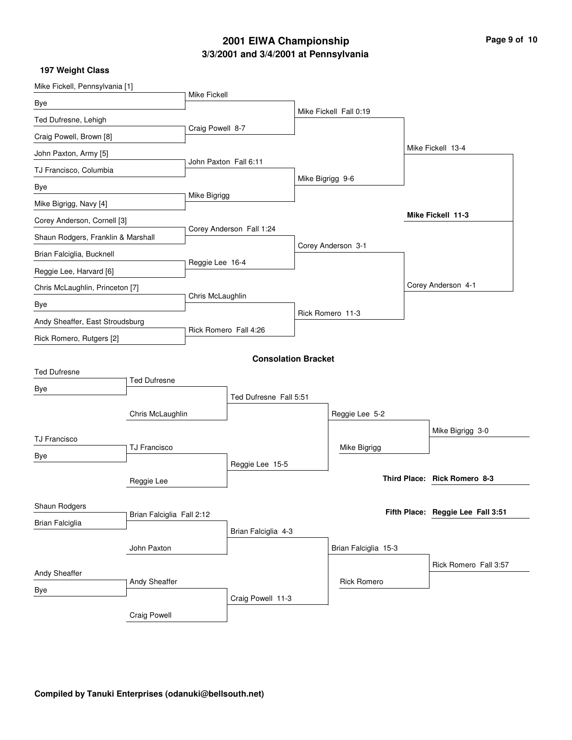## **3/3/2001 and 3/4/2001 at Pennsylvania 2001 EIWA Championship Page 9 of 10**

| Mike Fickell, Pennsylvania [1]               |                     |                          |                            |                    |                        |                                   |
|----------------------------------------------|---------------------|--------------------------|----------------------------|--------------------|------------------------|-----------------------------------|
| Bye                                          |                     | <b>Mike Fickell</b>      |                            |                    |                        |                                   |
| Ted Dufresne, Lehigh                         |                     |                          |                            |                    | Mike Fickell Fall 0:19 |                                   |
| Craig Powell, Brown [8]                      |                     | Craig Powell 8-7         |                            |                    |                        |                                   |
| John Paxton, Army [5]                        |                     |                          |                            |                    |                        | Mike Fickell 13-4                 |
| TJ Francisco, Columbia                       |                     | John Paxton Fall 6:11    |                            |                    |                        |                                   |
| Bye                                          |                     | Mike Bigrigg             |                            | Mike Bigrigg 9-6   |                        |                                   |
| Mike Bigrigg, Navy [4]                       |                     |                          |                            |                    |                        |                                   |
| Corey Anderson, Cornell [3]                  |                     |                          |                            |                    |                        | Mike Fickell 11-3                 |
| Shaun Rodgers, Franklin & Marshall           |                     | Corey Anderson Fall 1:24 |                            |                    |                        |                                   |
| Brian Falciglia, Bucknell                    |                     | Reggie Lee 16-4          |                            | Corey Anderson 3-1 |                        |                                   |
| Reggie Lee, Harvard [6]                      |                     |                          |                            |                    |                        |                                   |
| Chris McLaughlin, Princeton [7]              |                     |                          |                            |                    |                        | Corey Anderson 4-1                |
| Bye                                          |                     | Chris McLaughlin         |                            |                    |                        |                                   |
| Andy Sheaffer, East Stroudsburg              |                     | Rick Romero Fall 4:26    |                            | Rick Romero 11-3   |                        |                                   |
| Rick Romero, Rutgers [2]                     |                     |                          |                            |                    |                        |                                   |
|                                              |                     |                          | <b>Consolation Bracket</b> |                    |                        |                                   |
| <b>Ted Dufresne</b>                          |                     |                          |                            |                    |                        |                                   |
| Bye                                          | <b>Ted Dufresne</b> |                          |                            |                    |                        |                                   |
|                                              |                     |                          | Ted Dufresne Fall 5:51     |                    |                        |                                   |
| Chris McLaughlin                             |                     |                          |                            |                    | Reggie Lee 5-2         |                                   |
| <b>TJ Francisco</b>                          |                     |                          |                            |                    |                        | Mike Bigrigg 3-0                  |
| <b>TJ Francisco</b><br>Bye                   |                     |                          |                            |                    | Mike Bigrigg           |                                   |
|                                              |                     |                          | Reggie Lee 15-5            |                    |                        |                                   |
|                                              | Reggie Lee          |                          |                            |                    |                        | Third Place: Rick Romero 8-3      |
| <b>Shaun Rodgers</b>                         |                     |                          |                            |                    |                        |                                   |
| Brian Falciglia Fall 2:12<br>Brian Falciglia |                     |                          |                            |                    |                        | Fifth Place: Reggie Lee Fall 3:51 |
|                                              |                     |                          | Brian Falciglia 4-3        |                    |                        |                                   |
|                                              | John Paxton         |                          |                            |                    | Brian Falciglia 15-3   |                                   |
| Andy Sheaffer                                |                     |                          |                            |                    |                        | Rick Romero Fall 3:57             |
| Andy Sheaffer<br>Bye                         |                     |                          |                            |                    | <b>Rick Romero</b>     |                                   |
|                                              |                     |                          | Craig Powell 11-3          |                    |                        |                                   |
|                                              | Craig Powell        |                          |                            |                    |                        |                                   |